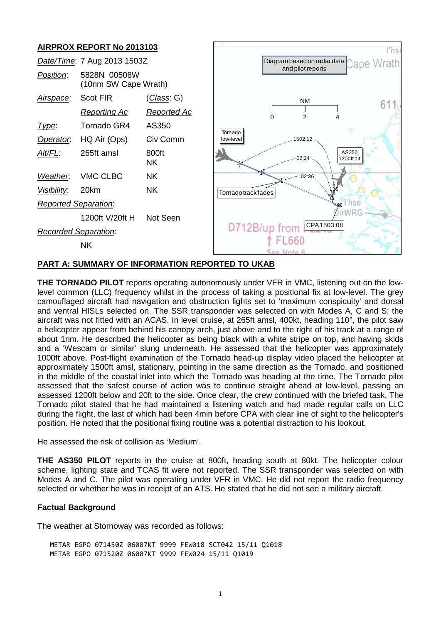

"hs

611

### **PART A: SUMMARY OF INFORMATION REPORTED TO UKAB**

**THE TORNADO PILOT** reports operating autonomously under VFR in VMC, listening out on the lowlevel common (LLC) frequency whilst in the process of taking a positional fix at low-level. The grey camouflaged aircraft had navigation and obstruction lights set to 'maximum conspicuity' and dorsal and ventral HISLs selected on. The SSR transponder was selected on with Modes A, C and S; the aircraft was not fitted with an ACAS. In level cruise, at 265ft amsl, 400kt, heading 110°, the pilot saw a helicopter appear from behind his canopy arch, just above and to the right of his track at a range of about 1nm. He described the helicopter as being black with a white stripe on top, and having skids and a 'Wescam or similar' slung underneath. He assessed that the helicopter was approximately 1000ft above. Post-flight examination of the Tornado head-up display video placed the helicopter at approximately 1500ft amsl, stationary, pointing in the same direction as the Tornado, and positioned in the middle of the coastal inlet into which the Tornado was heading at the time. The Tornado pilot assessed that the safest course of action was to continue straight ahead at low-level, passing an assessed 1200ft below and 20ft to the side. Once clear, the crew continued with the briefed task. The Tornado pilot stated that he had maintained a listening watch and had made regular calls on LLC during the flight, the last of which had been 4min before CPA with clear line of sight to the helicopter's position. He noted that the positional fixing routine was a potential distraction to his lookout.

He assessed the risk of collision as 'Medium'.

**THE AS350 PILOT** reports in the cruise at 800ft, heading south at 80kt. The helicopter colour scheme, lighting state and TCAS fit were not reported. The SSR transponder was selected on with Modes A and C. The pilot was operating under VFR in VMC. He did not report the radio frequency selected or whether he was in receipt of an ATS. He stated that he did not see a military aircraft.

#### **Factual Background**

The weather at Stornoway was recorded as follows:

METAR EGPO 071450Z 06007KT 9999 FEW018 SCT042 15/11 Q1018 METAR EGPO 071520Z 06007KT 9999 FEW024 15/11 Q1019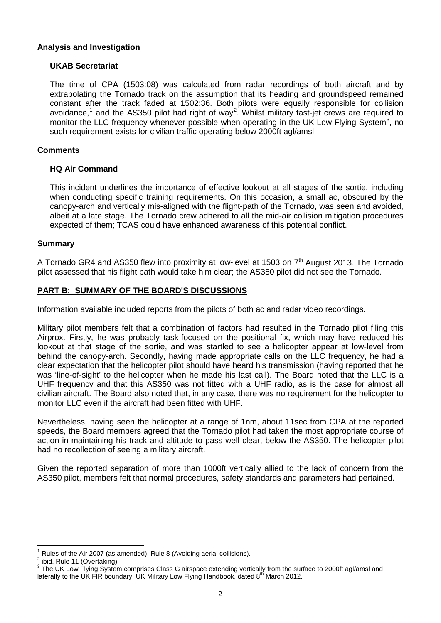#### **Analysis and Investigation**

### **UKAB Secretariat**

The time of CPA (1503:08) was calculated from radar recordings of both aircraft and by extrapolating the Tornado track on the assumption that its heading and groundspeed remained constant after the track faded at 1502:36. Both pilots were equally responsible for collision avoidance,<sup>[1](#page-1-0)</sup> and the AS350 pilot had right of way<sup>[2](#page-1-1)</sup>. Whilst military fast-jet crews are required to monitor the LLC frequency whenever possible when operating in the UK Low Flying System<sup>[3](#page-1-2)</sup>, no such requirement exists for civilian traffic operating below 2000ft agl/amsl.

## **Comments**

#### **HQ Air Command**

This incident underlines the importance of effective lookout at all stages of the sortie, including when conducting specific training requirements. On this occasion, a small ac, obscured by the canopy-arch and vertically mis-aligned with the flight-path of the Tornado, was seen and avoided, albeit at a late stage. The Tornado crew adhered to all the mid-air collision mitigation procedures expected of them; TCAS could have enhanced awareness of this potential conflict.

#### **Summary**

A Tornado GR4 and AS350 flew into proximity at low-level at 1503 on  $7<sup>th</sup>$  August 2013. The Tornado pilot assessed that his flight path would take him clear; the AS350 pilot did not see the Tornado.

### **PART B: SUMMARY OF THE BOARD'S DISCUSSIONS**

Information available included reports from the pilots of both ac and radar video recordings.

Military pilot members felt that a combination of factors had resulted in the Tornado pilot filing this Airprox. Firstly, he was probably task-focused on the positional fix, which may have reduced his lookout at that stage of the sortie, and was startled to see a helicopter appear at low-level from behind the canopy-arch. Secondly, having made appropriate calls on the LLC frequency, he had a clear expectation that the helicopter pilot should have heard his transmission (having reported that he was 'line-of-sight' to the helicopter when he made his last call). The Board noted that the LLC is a UHF frequency and that this AS350 was not fitted with a UHF radio, as is the case for almost all civilian aircraft. The Board also noted that, in any case, there was no requirement for the helicopter to monitor LLC even if the aircraft had been fitted with UHF.

Nevertheless, having seen the helicopter at a range of 1nm, about 11sec from CPA at the reported speeds, the Board members agreed that the Tornado pilot had taken the most appropriate course of action in maintaining his track and altitude to pass well clear, below the AS350. The helicopter pilot had no recollection of seeing a military aircraft.

Given the reported separation of more than 1000ft vertically allied to the lack of concern from the AS350 pilot, members felt that normal procedures, safety standards and parameters had pertained.

<span id="page-1-0"></span>Rules of the Air 2007 (as amended), Rule 8 (Avoiding aerial collisions).<br>ibid. Rule 11 (Overtaking).

<span id="page-1-1"></span>

<span id="page-1-2"></span> $3$  The UK Low Flying System comprises Class G airspace extending vertically from the surface to 2000ft agl/amsl and laterally to the UK FIR boundary. UK Military Low Flying Handbook, dated 8<sup>th</sup> March 2012.